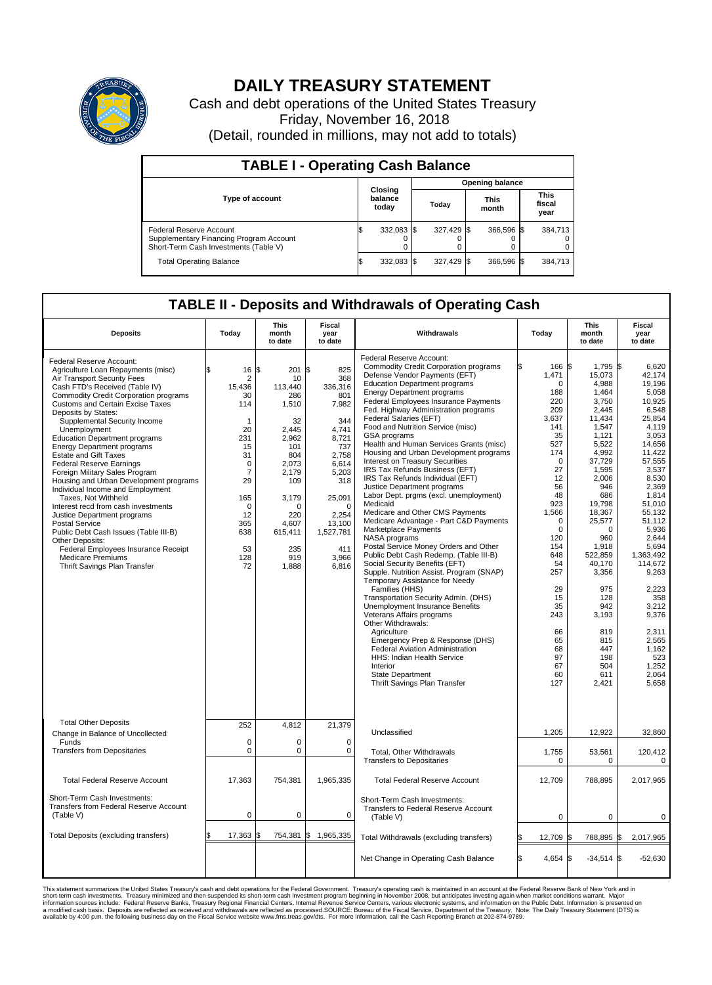

## **DAILY TREASURY STATEMENT**

Cash and debt operations of the United States Treasury Friday, November 16, 2018 (Detail, rounded in millions, may not add to totals)

| <b>TABLE I - Operating Cash Balance</b>                                                                     |  |                             |  |                        |  |                      |  |                               |  |  |
|-------------------------------------------------------------------------------------------------------------|--|-----------------------------|--|------------------------|--|----------------------|--|-------------------------------|--|--|
|                                                                                                             |  | Closing<br>balance<br>today |  | <b>Opening balance</b> |  |                      |  |                               |  |  |
| <b>Type of account</b>                                                                                      |  |                             |  | Today                  |  | <b>This</b><br>month |  | <b>This</b><br>fiscal<br>year |  |  |
| Federal Reserve Account<br>Supplementary Financing Program Account<br>Short-Term Cash Investments (Table V) |  | 332,083 \$                  |  | 327.429 \$             |  | 366.596 \$           |  | 384,713                       |  |  |
| <b>Total Operating Balance</b>                                                                              |  | 332,083 \$                  |  | 327,429 \$             |  | 366,596 \$           |  | 384,713                       |  |  |

## **TABLE II - Deposits and Withdrawals of Operating Cash**

| <b>Deposits</b>                                                                                                                                                                                                                                                                                                                                                                                                                                                                                                                                                                                                                                                                                                                                                                                                                                        | Today                                                                                                                                                                                    | <b>This</b><br>month<br>to date                                                                                                                                               | Fiscal<br>year<br>to date                                                                                                                                                              | Withdrawals                                                                                                                                                                                                                                                                                                                                                                                                                                                                                                                                                                                                                                                                                                                                                                                                                                                                                                                                                                                                                                                                                                                                                                                                                                                                                                               | Today |                                                                                                                                                                                                                                                                                    | <b>This</b><br>month<br>to date                                                                                                                                                                                                                                                                                         | Fiscal<br>year<br>to date                                                                                                                                                                                                                                                                                                                    |
|--------------------------------------------------------------------------------------------------------------------------------------------------------------------------------------------------------------------------------------------------------------------------------------------------------------------------------------------------------------------------------------------------------------------------------------------------------------------------------------------------------------------------------------------------------------------------------------------------------------------------------------------------------------------------------------------------------------------------------------------------------------------------------------------------------------------------------------------------------|------------------------------------------------------------------------------------------------------------------------------------------------------------------------------------------|-------------------------------------------------------------------------------------------------------------------------------------------------------------------------------|----------------------------------------------------------------------------------------------------------------------------------------------------------------------------------------|---------------------------------------------------------------------------------------------------------------------------------------------------------------------------------------------------------------------------------------------------------------------------------------------------------------------------------------------------------------------------------------------------------------------------------------------------------------------------------------------------------------------------------------------------------------------------------------------------------------------------------------------------------------------------------------------------------------------------------------------------------------------------------------------------------------------------------------------------------------------------------------------------------------------------------------------------------------------------------------------------------------------------------------------------------------------------------------------------------------------------------------------------------------------------------------------------------------------------------------------------------------------------------------------------------------------------|-------|------------------------------------------------------------------------------------------------------------------------------------------------------------------------------------------------------------------------------------------------------------------------------------|-------------------------------------------------------------------------------------------------------------------------------------------------------------------------------------------------------------------------------------------------------------------------------------------------------------------------|----------------------------------------------------------------------------------------------------------------------------------------------------------------------------------------------------------------------------------------------------------------------------------------------------------------------------------------------|
| Federal Reserve Account:<br>Agriculture Loan Repayments (misc)<br>Air Transport Security Fees<br>Cash FTD's Received (Table IV)<br><b>Commodity Credit Corporation programs</b><br><b>Customs and Certain Excise Taxes</b><br>Deposits by States:<br>Supplemental Security Income<br>Unemployment<br><b>Education Department programs</b><br><b>Energy Department programs</b><br><b>Estate and Gift Taxes</b><br><b>Federal Reserve Earnings</b><br>Foreign Military Sales Program<br>Housing and Urban Development programs<br>Individual Income and Employment<br>Taxes. Not Withheld<br>Interest recd from cash investments<br>Justice Department programs<br><b>Postal Service</b><br>Public Debt Cash Issues (Table III-B)<br>Other Deposits:<br>Federal Employees Insurance Receipt<br><b>Medicare Premiums</b><br>Thrift Savings Plan Transfer | 16<br>\$<br>$\overline{2}$<br>15.436<br>30<br>114<br>$\mathbf{1}$<br>20<br>231<br>15<br>31<br>$\Omega$<br>$\overline{7}$<br>29<br>165<br>$\Omega$<br>12<br>365<br>638<br>53<br>128<br>72 | l\$<br>201 \$<br>10<br>113.440<br>286<br>1,510<br>32<br>2.445<br>2,962<br>101<br>804<br>2.073<br>2,179<br>109<br>3,179<br>0<br>220<br>4.607<br>615,411<br>235<br>919<br>1,888 | 825<br>368<br>336.316<br>801<br>7,982<br>344<br>4.741<br>8,721<br>737<br>2,758<br>6.614<br>5,203<br>318<br>25,091<br>$\Omega$<br>2,254<br>13,100<br>1,527,781<br>411<br>3,966<br>6,816 | Federal Reserve Account:<br>Commodity Credit Corporation programs<br>Defense Vendor Payments (EFT)<br><b>Education Department programs</b><br><b>Energy Department programs</b><br><b>Federal Employees Insurance Payments</b><br>Fed. Highway Administration programs<br>Federal Salaries (EFT)<br>Food and Nutrition Service (misc)<br><b>GSA</b> programs<br>Health and Human Services Grants (misc)<br>Housing and Urban Development programs<br>Interest on Treasury Securities<br>IRS Tax Refunds Business (EFT)<br>IRS Tax Refunds Individual (EFT)<br>Justice Department programs<br>Labor Dept. prgms (excl. unemployment)<br>Medicaid<br>Medicare and Other CMS Payments<br>Medicare Advantage - Part C&D Payments<br>Marketplace Payments<br>NASA programs<br>Postal Service Money Orders and Other<br>Public Debt Cash Redemp. (Table III-B)<br>Social Security Benefits (EFT)<br>Supple. Nutrition Assist. Program (SNAP)<br>Temporary Assistance for Needy<br>Families (HHS)<br>Transportation Security Admin. (DHS)<br>Unemployment Insurance Benefits<br>Veterans Affairs programs<br>Other Withdrawals:<br>Agriculture<br>Emergency Prep & Response (DHS)<br><b>Federal Aviation Administration</b><br>HHS: Indian Health Service<br>Interior<br><b>State Department</b><br>Thrift Savings Plan Transfer |       | 166 \$<br>1,471<br>$\mathbf 0$<br>188<br>220<br>209<br>3,637<br>141<br>35<br>527<br>174<br>$\mathbf 0$<br>27<br>12<br>56<br>48<br>923<br>1,566<br>$\mathbf 0$<br>$\mathbf 0$<br>120<br>154<br>648<br>54<br>257<br>29<br>15<br>35<br>243<br>66<br>65<br>68<br>97<br>67<br>60<br>127 | 1,795 \$<br>15,073<br>4,988<br>1,464<br>3,750<br>2,445<br>11,434<br>1,547<br>1.121<br>5,522<br>4,992<br>37,729<br>1,595<br>2,006<br>946<br>686<br>19,798<br>18,367<br>25,577<br>$\Omega$<br>960<br>1,918<br>522.859<br>40,170<br>3,356<br>975<br>128<br>942<br>3,193<br>819<br>815<br>447<br>198<br>504<br>611<br>2,421 | 6,620<br>42,174<br>19.196<br>5.058<br>10.925<br>6,548<br>25,854<br>4,119<br>3.053<br>14,656<br>11,422<br>57,555<br>3,537<br>8,530<br>2,369<br>1,814<br>51,010<br>55.132<br>51.112<br>5,936<br>2.644<br>5,694<br>1.363.492<br>114,672<br>9,263<br>2.223<br>358<br>3,212<br>9,376<br>2.311<br>2,565<br>1,162<br>523<br>1,252<br>2.064<br>5,658 |
| <b>Total Other Deposits</b><br>Change in Balance of Uncollected                                                                                                                                                                                                                                                                                                                                                                                                                                                                                                                                                                                                                                                                                                                                                                                        | 252                                                                                                                                                                                      | 4,812                                                                                                                                                                         | 21,379                                                                                                                                                                                 | Unclassified                                                                                                                                                                                                                                                                                                                                                                                                                                                                                                                                                                                                                                                                                                                                                                                                                                                                                                                                                                                                                                                                                                                                                                                                                                                                                                              |       | 1,205                                                                                                                                                                                                                                                                              | 12,922                                                                                                                                                                                                                                                                                                                  | 32,860                                                                                                                                                                                                                                                                                                                                       |
| Funds<br><b>Transfers from Depositaries</b>                                                                                                                                                                                                                                                                                                                                                                                                                                                                                                                                                                                                                                                                                                                                                                                                            | $\mathbf 0$<br>$\mathbf 0$                                                                                                                                                               | 0<br>0                                                                                                                                                                        | $\mathbf 0$<br>$\mathbf 0$                                                                                                                                                             | <b>Total, Other Withdrawals</b><br><b>Transfers to Depositaries</b>                                                                                                                                                                                                                                                                                                                                                                                                                                                                                                                                                                                                                                                                                                                                                                                                                                                                                                                                                                                                                                                                                                                                                                                                                                                       |       | 1,755<br>0                                                                                                                                                                                                                                                                         | 53,561<br>0                                                                                                                                                                                                                                                                                                             | 120,412<br>0                                                                                                                                                                                                                                                                                                                                 |
| <b>Total Federal Reserve Account</b>                                                                                                                                                                                                                                                                                                                                                                                                                                                                                                                                                                                                                                                                                                                                                                                                                   | 17,363                                                                                                                                                                                   | 754,381                                                                                                                                                                       | 1,965,335                                                                                                                                                                              | <b>Total Federal Reserve Account</b>                                                                                                                                                                                                                                                                                                                                                                                                                                                                                                                                                                                                                                                                                                                                                                                                                                                                                                                                                                                                                                                                                                                                                                                                                                                                                      |       | 12,709                                                                                                                                                                                                                                                                             | 788,895                                                                                                                                                                                                                                                                                                                 | 2,017,965                                                                                                                                                                                                                                                                                                                                    |
| Short-Term Cash Investments:<br>Transfers from Federal Reserve Account<br>(Table V)                                                                                                                                                                                                                                                                                                                                                                                                                                                                                                                                                                                                                                                                                                                                                                    | $\mathbf 0$                                                                                                                                                                              | 0                                                                                                                                                                             | 0                                                                                                                                                                                      | Short-Term Cash Investments:<br>Transfers to Federal Reserve Account<br>(Table V)                                                                                                                                                                                                                                                                                                                                                                                                                                                                                                                                                                                                                                                                                                                                                                                                                                                                                                                                                                                                                                                                                                                                                                                                                                         |       | $\mathbf 0$                                                                                                                                                                                                                                                                        | 0                                                                                                                                                                                                                                                                                                                       | 0                                                                                                                                                                                                                                                                                                                                            |
| Total Deposits (excluding transfers)                                                                                                                                                                                                                                                                                                                                                                                                                                                                                                                                                                                                                                                                                                                                                                                                                   | 17,363<br>\$                                                                                                                                                                             | \$                                                                                                                                                                            | 754,381 \$ 1,965,335                                                                                                                                                                   | Total Withdrawals (excluding transfers)                                                                                                                                                                                                                                                                                                                                                                                                                                                                                                                                                                                                                                                                                                                                                                                                                                                                                                                                                                                                                                                                                                                                                                                                                                                                                   | ß.    | 12,709 \$                                                                                                                                                                                                                                                                          | 788,895                                                                                                                                                                                                                                                                                                                 | 1\$<br>2,017,965                                                                                                                                                                                                                                                                                                                             |
|                                                                                                                                                                                                                                                                                                                                                                                                                                                                                                                                                                                                                                                                                                                                                                                                                                                        |                                                                                                                                                                                          |                                                                                                                                                                               |                                                                                                                                                                                        | Net Change in Operating Cash Balance                                                                                                                                                                                                                                                                                                                                                                                                                                                                                                                                                                                                                                                                                                                                                                                                                                                                                                                                                                                                                                                                                                                                                                                                                                                                                      | l\$   | $4,654$ \$                                                                                                                                                                                                                                                                         | $-34,514$ \$                                                                                                                                                                                                                                                                                                            | $-52,630$                                                                                                                                                                                                                                                                                                                                    |

This statement summarizes the United States Treasury's cash and debt operations for the Federal Government. Treasury soperating in November 2008, but anticiarded in a cocount at the Federal Reserve Bank of New York and in<br>